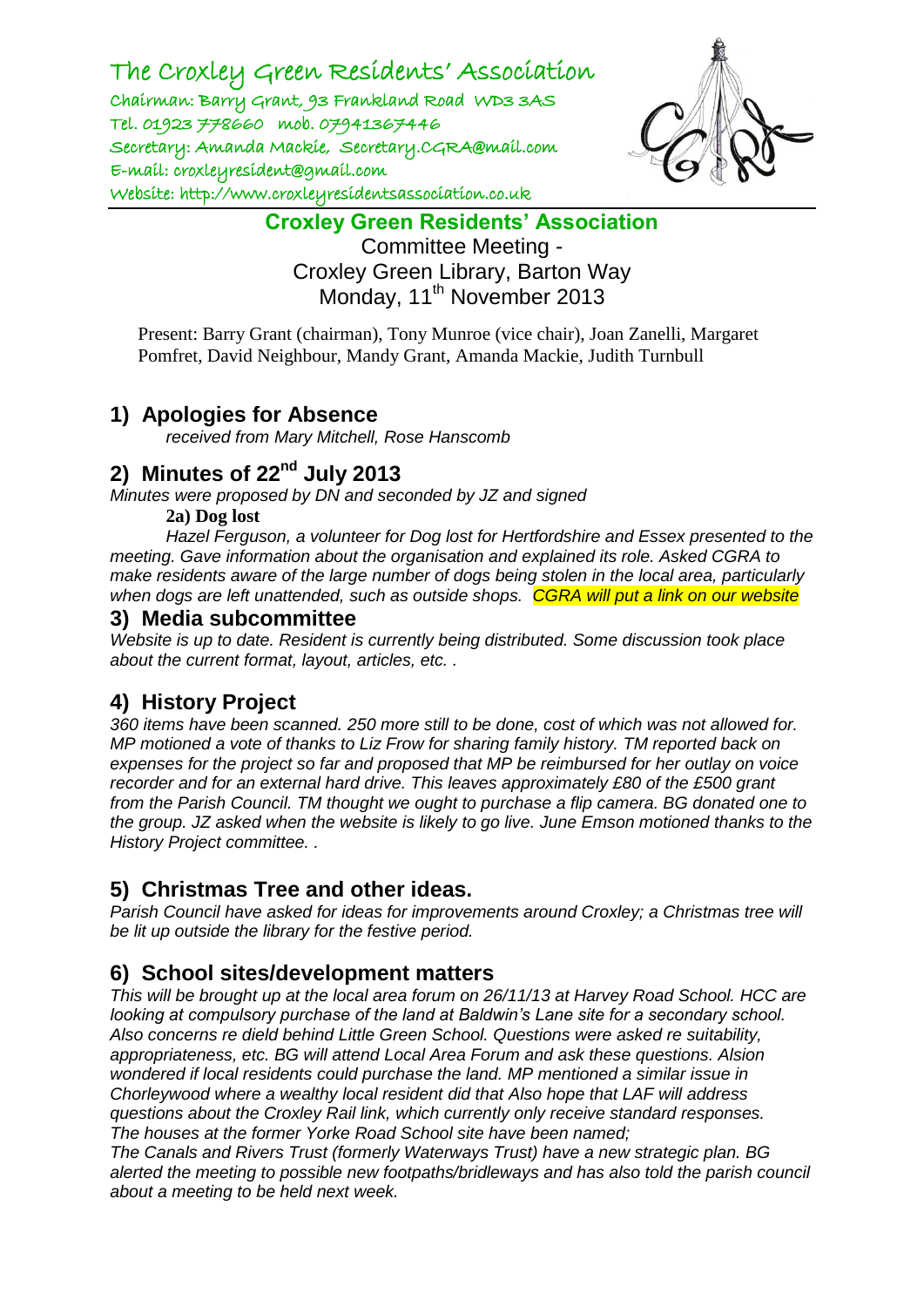The Croxley Green Residents' Association

Chairman: Barry Grant, 93 Frankland Road WD3 3AS Tel. 01923 778660 mob. 07941367446 Secretary: Amanda Mackie, Secretary.CGRA@mail.com E-mail: croxleyresident@gmail.com Website: http://www.croxleyresidentsassociation.co.uk



**Croxley Green Residents' Association**

Committee Meeting - Croxley Green Library, Barton Way Monday, 11<sup>th</sup> November 2013

Present: Barry Grant (chairman), Tony Munroe (vice chair), Joan Zanelli, Margaret Pomfret, David Neighbour, Mandy Grant, Amanda Mackie, Judith Turnbull

#### **1) Apologies for Absence**

*received from Mary Mitchell, Rose Hanscomb*

#### **2) Minutes of 22nd July 2013**

*Minutes were proposed by DN and seconded by JZ and signed*

#### **2a) Dog lost**

*Hazel Ferguson, a volunteer for Dog lost for Hertfordshire and Essex presented to the meeting. Gave information about the organisation and explained its role. Asked CGRA to make residents aware of the large number of dogs being stolen in the local area, particularly when dogs are left unattended, such as outside shops. CGRA will put a link on our website*

#### **3) Media subcommittee**

*Website is up to date. Resident is currently being distributed. Some discussion took place about the current format, layout, articles, etc. .* 

## **4) History Project**

*360 items have been scanned. 250 more still to be done, cost of which was not allowed for. MP motioned a vote of thanks to Liz Frow for sharing family history. TM reported back on expenses for the project so far and proposed that MP be reimbursed for her outlay on voice recorder and for an external hard drive. This leaves approximately £80 of the £500 grant from the Parish Council. TM thought we ought to purchase a flip camera. BG donated one to the group. JZ asked when the website is likely to go live. June Emson motioned thanks to the History Project committee. .* 

## **5) Christmas Tree and other ideas.**

*Parish Council have asked for ideas for improvements around Croxley; a Christmas tree will be lit up outside the library for the festive period.* 

## **6) School sites/development matters**

*This will be brought up at the local area forum on 26/11/13 at Harvey Road School. HCC are looking at compulsory purchase of the land at Baldwin's Lane site for a secondary school. Also concerns re dield behind Little Green School. Questions were asked re suitability, appropriateness, etc. BG will attend Local Area Forum and ask these questions. Alsion wondered if local residents could purchase the land. MP mentioned a similar issue in Chorleywood where a wealthy local resident did that Also hope that LAF will address questions about the Croxley Rail link, which currently only receive standard responses. The houses at the former Yorke Road School site have been named;* 

*The Canals and Rivers Trust (formerly Waterways Trust) have a new strategic plan. BG alerted the meeting to possible new footpaths/bridleways and has also told the parish council about a meeting to be held next week.*